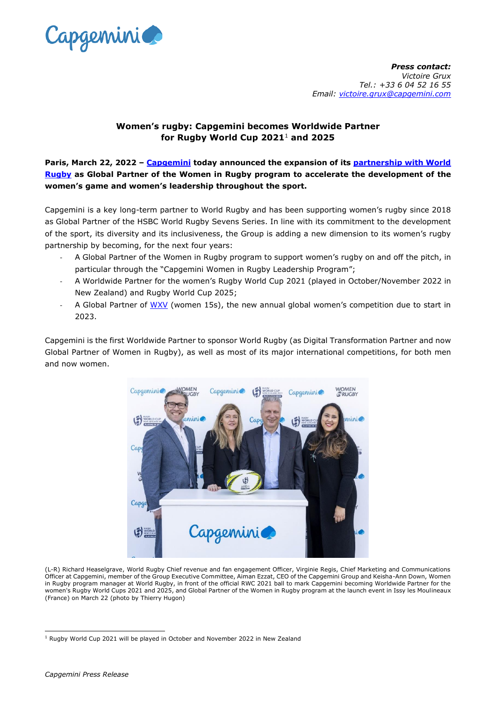

*Press contact: Victoire Grux Tel.: +33 6 04 52 16 55 Email: [victoire.grux@capgemini.com](mailto:victoire.grux@capgemini.com)*

## **Women's rugby: Capgemini becomes Worldwide Partner for Rugby World Cup 2021**<sup>1</sup> **and 2025**

**Paris, March 22, 2022 – [Capgemini](http://www.capgemini.com/) today announced the expansion of its [partnership with World](https://www.capgemini.com/our-company/passion-for-sport/capgemini-and-rugby/)  [Rugby](https://www.capgemini.com/our-company/passion-for-sport/capgemini-and-rugby/) as Global Partner of the Women in Rugby program to accelerate the development of the women's game and women's leadership throughout the sport.**

Capgemini is a key long-term partner to World Rugby and has been supporting women's rugby since 2018 as Global Partner of the HSBC World Rugby Sevens Series. In line with its commitment to the development of the sport, its diversity and its inclusiveness, the Group is adding a new dimension to its women's rugby partnership by becoming, for the next four years:

- A Global Partner of the Women in Rugby program to support women's rugby on and off the pitch, in particular through the "Capgemini Women in Rugby Leadership Program";
- A Worldwide Partner for the women's Rugby World Cup 2021 (played in October/November 2022 in New Zealand) and Rugby World Cup 2025;
- A Global Partner of [WXV](https://www.world.rugby/worldrugbytv/video/682609/wxv-a-new-era-for-womens-rugby) (women 15s), the new annual global women's competition due to start in 2023.

Capgemini is the first Worldwide Partner to sponsor World Rugby (as Digital Transformation Partner and now Global Partner of Women in Rugby), as well as most of its major international competitions, for both men and now women.



(L-R) Richard Heaselgrave, World Rugby Chief revenue and fan engagement Officer, Virginie Regis, Chief Marketing and Communications Officer at Capgemini, member of the Group Executive Committee, Aiman Ezzat, CEO of the Capgemini Group and Keisha-Ann Down, Women in Rugby program manager at World Rugby, in front of the official RWC 2021 ball to mark Capgemini becoming Worldwide Partner for the women's Rugby World Cups 2021 and 2025, and Global Partner of the Women in Rugby program at the launch event in Issy les Moulineaux (France) on March 22 (photo by Thierry Hugon)

<sup>1</sup> Rugby World Cup 2021 will be played in October and November 2022 in New Zealand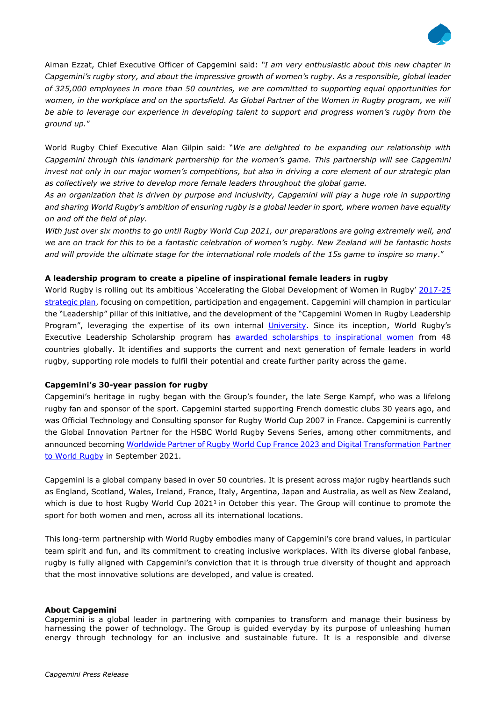

Aiman Ezzat, Chief Executive Officer of Capgemini said: *"I am very enthusiastic about this new chapter in Capgemini's rugby story, and about the impressive growth of women's rugby. As a responsible, global leader of 325,000 employees in more than 50 countries, we are committed to supporting equal opportunities for*  women, in the workplace and on the sportsfield. As Global Partner of the Women in Rugby program, we will *be able to leverage our experience in developing talent to support and progress women's rugby from the ground up.*"

World Rugby Chief Executive Alan Gilpin said: "*We are delighted to be expanding our relationship with Capgemini through this landmark partnership for the women's game. This partnership will see Capgemini invest not only in our major women's competitions, but also in driving a core element of our strategic plan as collectively we strive to develop more female leaders throughout the global game.*

*As an organization that is driven by purpose and inclusivity, Capgemini will play a huge role in supporting and sharing World Rugby's ambition of ensuring rugby is a global leader in sport, where women have equality on and off the field of play.*

*With just over six months to go until Rugby World Cup 2021, our preparations are going extremely well, and*  we are on track for this to be a fantastic celebration of women's rugby. New Zealand will be fantastic hosts *and will provide the ultimate stage for the international role models of the 15s game to inspire so many*."

## **A leadership program to create a pipeline of inspirational female leaders in rugby**

World Rugby is rolling out its ambitious 'Accelerating the Global Development of Women in Rugby' [2017-25](https://www.world.rugby/news/672926)  [strategic plan,](https://www.world.rugby/news/672926) focusing on competition, participation and engagement. Capgemini will champion in particular the "Leadership" pillar of this initiative, and the development of the "Capgemini Women in Rugby Leadership Program", leveraging the expertise of its own internal [University.](https://www.capgemini.com/gb-en/careers/learning-development/capgemini-university/) Since its inception, World Rugby's Executive Leadership Scholarship program has [awarded scholarships to inspirational women](https://www.world.rugby/news/695232/how-the-world-rugby-womens-executive-leadership-scholarship-helps-to-support-female-leaders) from 48 countries globally. It identifies and supports the current and next generation of female leaders in world rugby, supporting role models to fulfil their potential and create further parity across the game.

## **Capgemini's 30-year passion for rugby**

Capgemini's heritage in rugby began with the Group's founder, the late Serge Kampf, who was a lifelong rugby fan and sponsor of the sport. Capgemini started supporting French domestic clubs 30 years ago, and was Official Technology and Consulting sponsor for Rugby World Cup 2007 in France. Capgemini is currently the Global Innovation Partner for the HSBC World Rugby Sevens Series, among other commitments, and announced becoming [Worldwide Partner of Rugby World Cup France 2023 and Digital Transformation Partner](https://www.capgemini.com/news/capgemini-becomes-worldwide-partner-of-rugby-world-cup-france-2023/)  [to World Rugby](https://www.capgemini.com/news/capgemini-becomes-worldwide-partner-of-rugby-world-cup-france-2023/) in September 2021.

Capgemini is a global company based in over 50 countries. It is present across major rugby heartlands such as England, Scotland, Wales, Ireland, France, Italy, Argentina, Japan and Australia, as well as New Zealand, which is due to host Rugby World Cup 2021<sup>1</sup> in October this year. The Group will continue to promote the sport for both women and men, across all its international locations.

This long-term partnership with World Rugby embodies many of Capgemini's core brand values, in particular team spirit and fun, and its commitment to creating inclusive workplaces. With its diverse global fanbase, rugby is fully aligned with Capgemini's conviction that it is through true diversity of thought and approach that the most innovative solutions are developed, and value is created.

## **About Capgemini**

Capgemini is a global leader in partnering with companies to transform and manage their business by harnessing the power of technology. The Group is guided everyday by its purpose of unleashing human energy through technology for an inclusive and sustainable future. It is a responsible and diverse